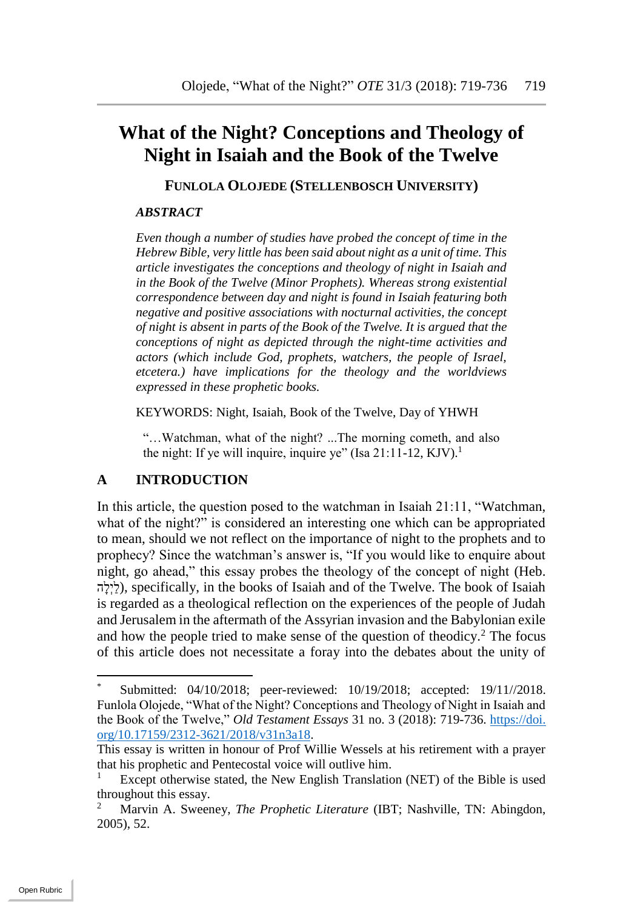# **What of the Night? Conceptions and Theology of Night in Isaiah and the Book of the Twelve**

**FUNLOLA OLOJEDE (STELLENBOSCH UNIVERSITY)**

#### *ABSTRACT*

*Even though a number of studies have probed the concept of time in the Hebrew Bible, very little has been said about night as a unit of time. This article investigates the conceptions and theology of night in Isaiah and in the Book of the Twelve (Minor Prophets). Whereas strong existential correspondence between day and night is found in Isaiah featuring both negative and positive associations with nocturnal activities, the concept of night is absent in parts of the Book of the Twelve. It is argued that the conceptions of night as depicted through the night-time activities and actors (which include God, prophets, watchers, the people of Israel, etcetera.) have implications for the theology and the worldviews expressed in these prophetic books.*

KEYWORDS: Night, Isaiah, Book of the Twelve, Day of YHWH

"…Watchman, what of the night? ...The morning cometh, and also the night: If ye will inquire, inquire ye" (Isa 21:11-12, KJV).<sup>1</sup>

#### **A INTRODUCTION**

In this article, the question posed to the watchman in Isaiah 21:11, "Watchman, what of the night?" is considered an interesting one which can be appropriated to mean, should we not reflect on the importance of night to the prophets and to prophecy? Since the watchman's answer is, "If you would like to enquire about night, go ahead," this essay probes the theology of the concept of night (Heb.  $\zeta^{\prime}$ (לִילְה), specifically, in the books of Isaiah and of the Twelve. The book of Isaiah is regarded as a theological reflection on the experiences of the people of Judah and Jerusalem in the aftermath of the Assyrian invasion and the Babylonian exile and how the people tried to make sense of the question of theodicy.<sup>2</sup> The focus of this article does not necessitate a foray into the debates about the unity of

Submitted: 04/10/2018; peer-reviewed: 10/19/2018; accepted: 19/11//2018. Funlola Olojede, "What of the Night? Conceptions and Theology of Night in Isaiah and the Book of the Twelve," *Old Testament Essays* 31 no. 3 (2018): 719-736. https://doi. org/10.17159/2312-3621/2018/v31n3a18.

This essay is written in honour of Prof Willie Wessels at his retirement with a prayer that his prophetic and Pentecostal voice will outlive him.

Except otherwise stated, the New English Translation (NET) of the Bible is used throughout this essay.

<sup>2</sup> Marvin A. Sweeney, *The Prophetic Literature* (IBT; Nashville, TN: Abingdon, 2005), 52.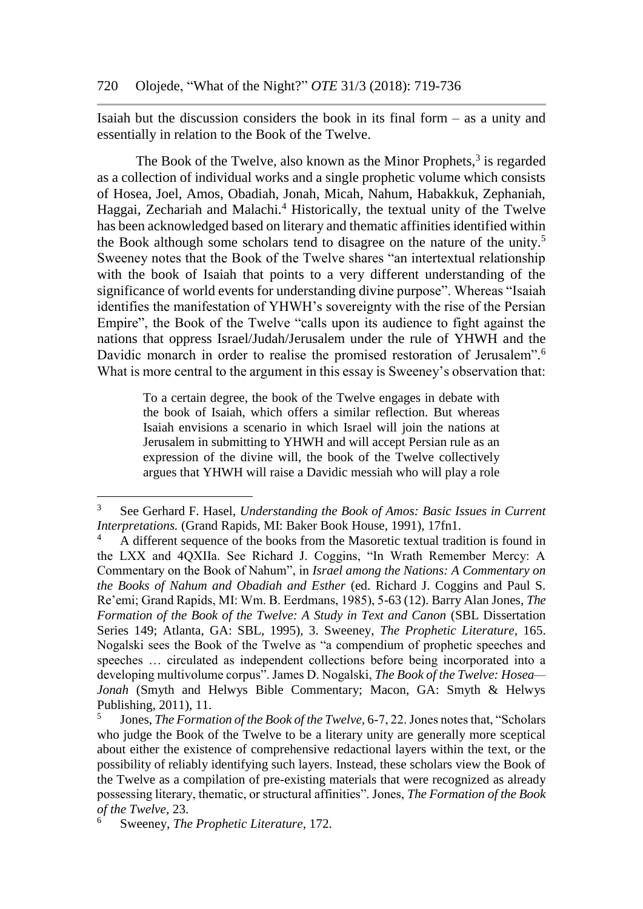Isaiah but the discussion considers the book in its final form – as a unity and essentially in relation to the Book of the Twelve.

The Book of the Twelve, also known as the Minor Prophets, $3$  is regarded as a collection of individual works and a single prophetic volume which consists of Hosea, Joel, Amos, Obadiah, Jonah, Micah, Nahum, Habakkuk, Zephaniah, Haggai, Zechariah and Malachi.<sup>4</sup> Historically, the textual unity of the Twelve has been acknowledged based on literary and thematic affinities identified within the Book although some scholars tend to disagree on the nature of the unity.<sup>5</sup> Sweeney notes that the Book of the Twelve shares "an intertextual relationship with the book of Isaiah that points to a very different understanding of the significance of world events for understanding divine purpose". Whereas "Isaiah identifies the manifestation of YHWH's sovereignty with the rise of the Persian Empire", the Book of the Twelve "calls upon its audience to fight against the nations that oppress Israel/Judah/Jerusalem under the rule of YHWH and the Davidic monarch in order to realise the promised restoration of Jerusalem".<sup>6</sup> What is more central to the argument in this essay is Sweeney's observation that:

> To a certain degree, the book of the Twelve engages in debate with the book of Isaiah, which offers a similar reflection. But whereas Isaiah envisions a scenario in which Israel will join the nations at Jerusalem in submitting to YHWH and will accept Persian rule as an expression of the divine will, the book of the Twelve collectively argues that YHWH will raise a Davidic messiah who will play a role

<sup>3</sup> See Gerhard F. Hasel, *Understanding the Book of Amos: Basic Issues in Current Interpretations.* (Grand Rapids, MI: Baker Book House, 1991), 17fn1.

<sup>4</sup> A different sequence of the books from the Masoretic textual tradition is found in the LXX and 4QXIIa. See Richard J. Coggins, "In Wrath Remember Mercy: A Commentary on the Book of Nahum", in *Israel among the Nations: A Commentary on the Books of Nahum and Obadiah and Esther* (ed. Richard J. Coggins and Paul S. Re'emi; Grand Rapids, MI: Wm. B. Eerdmans, 1985), 5-63 (12). Barry Alan Jones, *The Formation of the Book of the Twelve: A Study in Text and Canon* (SBL Dissertation Series 149; Atlanta, GA: SBL, 1995), 3. Sweeney, *The Prophetic Literature,* 165. Nogalski sees the Book of the Twelve as "a compendium of prophetic speeches and speeches … circulated as independent collections before being incorporated into a developing multivolume corpus". James D. Nogalski, *The Book of the Twelve: Hosea— Jonah* (Smyth and Helwys Bible Commentary; Macon, GA: Smyth & Helwys Publishing, 2011), 11.

<sup>5</sup> Jones, *The Formation of the Book of the Twelve,* 6-7, 22. Jones notes that, "Scholars who judge the Book of the Twelve to be a literary unity are generally more sceptical about either the existence of comprehensive redactional layers within the text, or the possibility of reliably identifying such layers. Instead, these scholars view the Book of the Twelve as a compilation of pre-existing materials that were recognized as already possessing literary, thematic, or structural affinities". Jones, *The Formation of the Book of the Twelve,* 23.

<sup>6</sup> Sweeney, *The Prophetic Literature,* 172.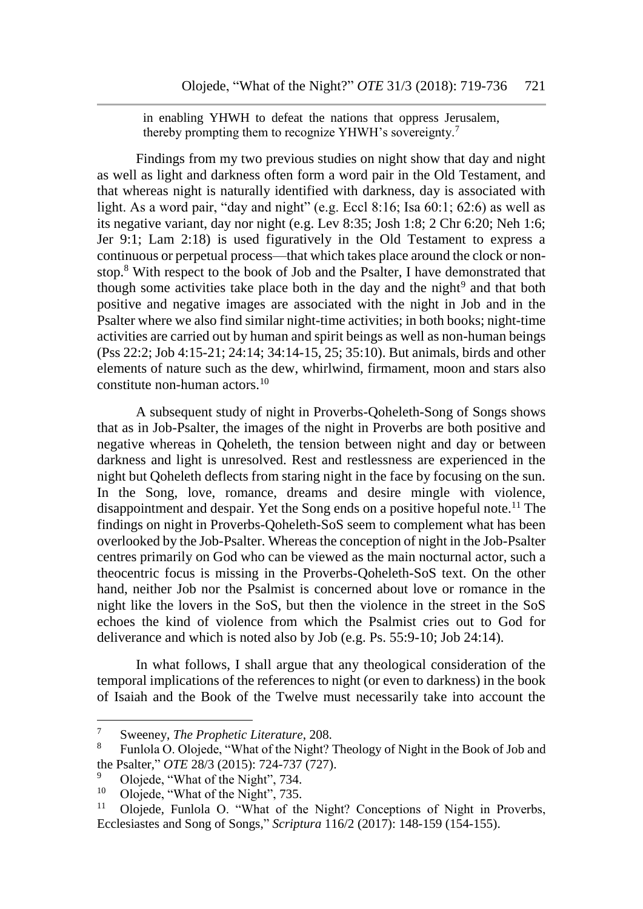in enabling YHWH to defeat the nations that oppress Jerusalem, thereby prompting them to recognize YHWH's sovereignty.<sup>7</sup>

Findings from my two previous studies on night show that day and night as well as light and darkness often form a word pair in the Old Testament, and that whereas night is naturally identified with darkness, day is associated with light. As a word pair, "day and night" (e.g. Eccl 8:16; Isa 60:1; 62:6) as well as its negative variant, day nor night (e.g. Lev 8:35; Josh 1:8; 2 Chr 6:20; Neh 1:6; Jer 9:1; Lam 2:18) is used figuratively in the Old Testament to express a continuous or perpetual process—that which takes place around the clock or nonstop.<sup>8</sup> With respect to the book of Job and the Psalter, I have demonstrated that though some activities take place both in the day and the night<sup>9</sup> and that both positive and negative images are associated with the night in Job and in the Psalter where we also find similar night-time activities; in both books; night-time activities are carried out by human and spirit beings as well as non-human beings (Pss 22:2; Job 4:15-21; 24:14; 34:14-15, 25; 35:10). But animals, birds and other elements of nature such as the dew, whirlwind, firmament, moon and stars also constitute non-human actors.<sup>10</sup>

A subsequent study of night in Proverbs-Qoheleth-Song of Songs shows that as in Job-Psalter, the images of the night in Proverbs are both positive and negative whereas in Qoheleth, the tension between night and day or between darkness and light is unresolved. Rest and restlessness are experienced in the night but Qoheleth deflects from staring night in the face by focusing on the sun. In the Song, love, romance, dreams and desire mingle with violence, disappointment and despair. Yet the Song ends on a positive hopeful note.<sup>11</sup> The findings on night in Proverbs-Qoheleth-SoS seem to complement what has been overlooked by the Job-Psalter. Whereas the conception of night in the Job-Psalter centres primarily on God who can be viewed as the main nocturnal actor, such a theocentric focus is missing in the Proverbs-Qoheleth-SoS text. On the other hand, neither Job nor the Psalmist is concerned about love or romance in the night like the lovers in the SoS, but then the violence in the street in the SoS echoes the kind of violence from which the Psalmist cries out to God for deliverance and which is noted also by Job (e.g. Ps. 55:9-10; Job 24:14).

In what follows, I shall argue that any theological consideration of the temporal implications of the references to night (or even to darkness) in the book of Isaiah and the Book of the Twelve must necessarily take into account the

<sup>&</sup>lt;sup>7</sup> Sweeney, *The Prophetic Literature*, 208.

Funlola O. Olojede, "What of the Night? Theology of Night in the Book of Job and the Psalter," *OTE* 28/3 (2015): 724-737 (727).

 $\frac{9}{10}$  Olojede, "What of the Night", 734.

<sup>&</sup>lt;sup>10</sup> Olojede, "What of the Night", 735.<br><sup>11</sup> Olojede, Funlola O. "What of the

<sup>11</sup> Olojede, Funlola O. "What of the Night? Conceptions of Night in Proverbs, Ecclesiastes and Song of Songs," *Scriptura* 116/2 (2017): 148-159 (154-155).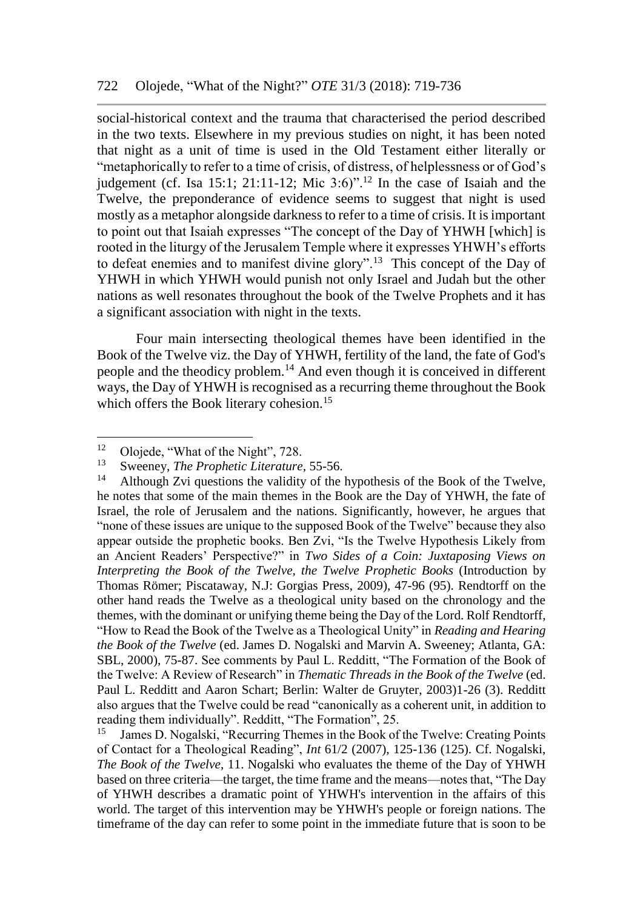social-historical context and the trauma that characterised the period described in the two texts. Elsewhere in my previous studies on night, it has been noted that night as a unit of time is used in the Old Testament either literally or "metaphorically to refer to a time of crisis, of distress, of helplessness or of God's judgement (cf. Isa 15:1; 21:11-12; Mic 3:6)".<sup>12</sup> In the case of Isaiah and the Twelve, the preponderance of evidence seems to suggest that night is used mostly as a metaphor alongside darkness to refer to a time of crisis. It is important to point out that Isaiah expresses "The concept of the Day of YHWH [which] is rooted in the liturgy of the Jerusalem Temple where it expresses YHWH's efforts to defeat enemies and to manifest divine glory".<sup>13</sup> This concept of the Day of YHWH in which YHWH would punish not only Israel and Judah but the other nations as well resonates throughout the book of the Twelve Prophets and it has a significant association with night in the texts.

Four main intersecting theological themes have been identified in the Book of the Twelve viz. the Day of YHWH, fertility of the land, the fate of God's people and the theodicy problem.<sup>14</sup> And even though it is conceived in different ways, the Day of YHWH is recognised as a recurring theme throughout the Book which offers the Book literary cohesion.<sup>15</sup>

 $\overline{a}$ 

James D. Nogalski, "Recurring Themes in the Book of the Twelve: Creating Points of Contact for a Theological Reading", *Int* 61/2 (2007), 125-136 (125). Cf. Nogalski, *The Book of the Twelve*, 11. Nogalski who evaluates the theme of the Day of YHWH based on three criteria—the target, the time frame and the means—notes that, "The Day of YHWH describes a dramatic point of YHWH's intervention in the affairs of this world. The target of this intervention may be YHWH's people or foreign nations. The timeframe of the day can refer to some point in the immediate future that is soon to be

<sup>&</sup>lt;sup>12</sup> Olojede, "What of the Night", 728.<br><sup>13</sup> Superport The Prophetic Literature.

<sup>&</sup>lt;sup>13</sup> Sweeney, *The Prophetic Literature*, 55-56.<br><sup>14</sup> Although Zyi questions the validity of the

Although Zvi questions the validity of the hypothesis of the Book of the Twelve, he notes that some of the main themes in the Book are the Day of YHWH, the fate of Israel, the role of Jerusalem and the nations. Significantly, however, he argues that "none of these issues are unique to the supposed Book of the Twelve" because they also appear outside the prophetic books. Ben Zvi, "Is the Twelve Hypothesis Likely from an Ancient Readers' Perspective?" in *Two Sides of a Coin: Juxtaposing Views on Interpreting the Book of the Twelve, the Twelve Prophetic Books* (Introduction by Thomas Römer; Piscataway, N.J: Gorgias Press, 2009), 47-96 (95). Rendtorff on the other hand reads the Twelve as a theological unity based on the chronology and the themes, with the dominant or unifying theme being the Day of the Lord. Rolf Rendtorff, "How to Read the Book of the Twelve as a Theological Unity" in *Reading and Hearing the Book of the Twelve* (ed. James D. Nogalski and Marvin A. Sweeney; Atlanta, GA: SBL, 2000), 75-87. See comments by Paul L. Redditt, "The Formation of the Book of the Twelve: A Review of Research" in *Thematic Threads in the Book of the Twelve* (ed. Paul L. Redditt and Aaron Schart; Berlin: Walter de Gruyter, 2003)1-26 (3). Redditt also argues that the Twelve could be read "canonically as a coherent unit, in addition to reading them individually". Redditt, "The Formation", 25.<br><sup>15</sup> James D. Nogalski, "Recurring Themes in the Book of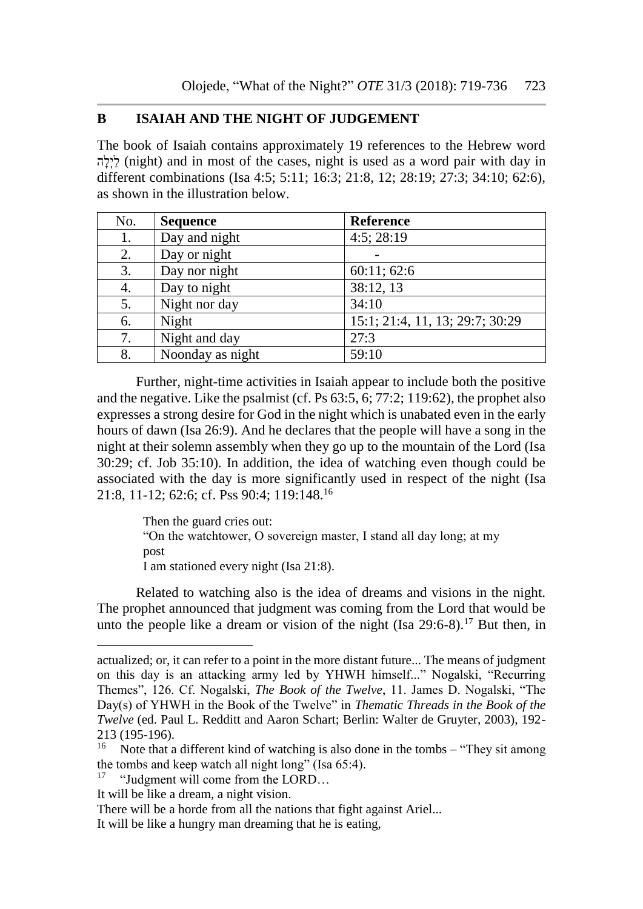### **B ISAIAH AND THE NIGHT OF JUDGEMENT**

The book of Isaiah contains approximately 19 references to the Hebrew word לְיָלָה) (night) and in most of the cases, night is used as a word pair with day in different combinations (Isa 4:5; 5:11; 16:3; 21:8, 12; 28:19; 27:3; 34:10; 62:6), as shown in the illustration below.

| No. | <b>Sequence</b>  | <b>Reference</b>                |
|-----|------------------|---------------------------------|
| 1.  | Day and night    | $4:5$ ; 28:19                   |
| 2.  | Day or night     |                                 |
| 3.  | Day nor night    | 60:11;62:6                      |
| 4.  | Day to night     | 38:12, 13                       |
| 5.  | Night nor day    | 34:10                           |
| 6.  | Night            | 15:1; 21:4, 11, 13; 29:7; 30:29 |
| 7.  | Night and day    | 27:3                            |
| 8.  | Noonday as night | 59:10                           |

Further, night-time activities in Isaiah appear to include both the positive and the negative. Like the psalmist (cf. Ps 63:5, 6; 77:2; 119:62), the prophet also expresses a strong desire for God in the night which is unabated even in the early hours of dawn (Isa 26:9). And he declares that the people will have a song in the night at their solemn assembly when they go up to the mountain of the Lord (Isa 30:29; cf. Job 35:10). In addition, the idea of watching even though could be associated with the day is more significantly used in respect of the night (Isa 21:8, 11-12; 62:6; cf. Pss 90:4; 119:148.<sup>16</sup>

> Then the guard cries out: "On the watchtower, O sovereign master, I stand all day long; at my post I am stationed every night (Isa 21:8).

Related to watching also is the idea of dreams and visions in the night. The prophet announced that judgment was coming from the Lord that would be unto the people like a dream or vision of the night  $(Isa 29:6-8)$ .<sup>17</sup> But then, in

actualized; or, it can refer to a point in the more distant future... The means of judgment on this day is an attacking army led by YHWH himself..." Nogalski, "Recurring Themes", 126. Cf. Nogalski, *The Book of the Twelve*, 11. James D. Nogalski, "The Day(s) of YHWH in the Book of the Twelve" in *Thematic Threads in the Book of the Twelve* (ed. Paul L. Redditt and Aaron Schart; Berlin: Walter de Gruyter, 2003), 192- 213 (195-196).

<sup>&</sup>lt;sup>16</sup> Note that a different kind of watching is also done in the tombs – "They sit among" the tombs and keep watch all night long" (Isa 65:4).

<sup>&</sup>quot;Judgment will come from the LORD...

It will be like a dream, a night vision.

There will be a horde from all the nations that fight against Ariel...

It will be like a hungry man dreaming that he is eating,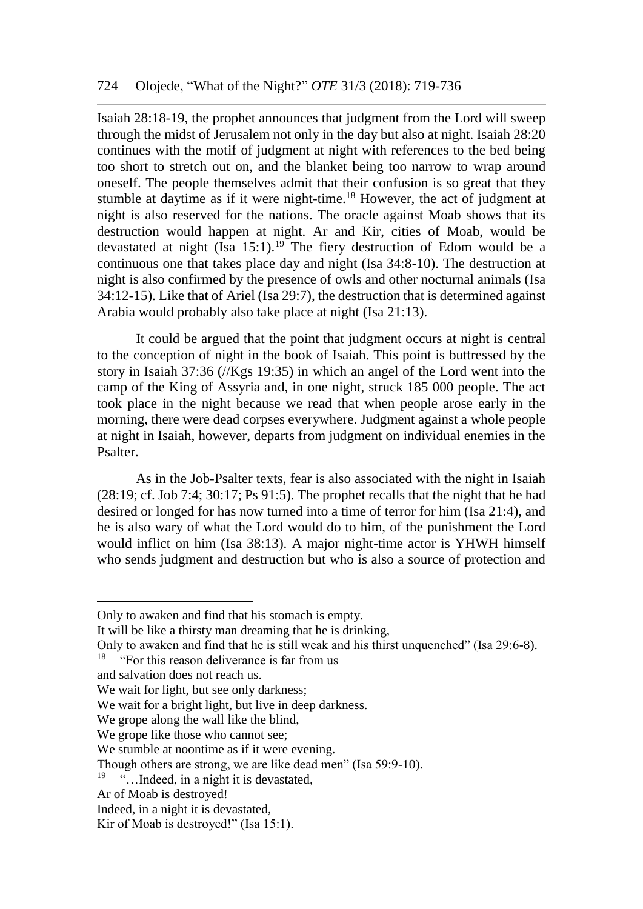Isaiah 28:18-19, the prophet announces that judgment from the Lord will sweep through the midst of Jerusalem not only in the day but also at night. Isaiah 28:20 continues with the motif of judgment at night with references to the bed being too short to stretch out on, and the blanket being too narrow to wrap around oneself. The people themselves admit that their confusion is so great that they stumble at daytime as if it were night-time.<sup>18</sup> However, the act of judgment at night is also reserved for the nations. The oracle against Moab shows that its destruction would happen at night. Ar and Kir, cities of Moab, would be devastated at night  $(Isa 15:1).19$  The fiery destruction of Edom would be a continuous one that takes place day and night (Isa 34:8-10). The destruction at night is also confirmed by the presence of owls and other nocturnal animals (Isa 34:12-15). Like that of Ariel (Isa 29:7), the destruction that is determined against Arabia would probably also take place at night (Isa 21:13).

It could be argued that the point that judgment occurs at night is central to the conception of night in the book of Isaiah. This point is buttressed by the story in Isaiah 37:36 (//Kgs 19:35) in which an angel of the Lord went into the camp of the King of Assyria and, in one night, struck 185 000 people. The act took place in the night because we read that when people arose early in the morning, there were dead corpses everywhere. Judgment against a whole people at night in Isaiah, however, departs from judgment on individual enemies in the Psalter.

As in the Job-Psalter texts, fear is also associated with the night in Isaiah (28:19; cf. Job 7:4; 30:17; Ps 91:5). The prophet recalls that the night that he had desired or longed for has now turned into a time of terror for him (Isa 21:4), and he is also wary of what the Lord would do to him, of the punishment the Lord would inflict on him (Isa 38:13). A major night-time actor is YHWH himself who sends judgment and destruction but who is also a source of protection and

Only to awaken and find that his stomach is empty.

It will be like a thirsty man dreaming that he is drinking,

Only to awaken and find that he is still weak and his thirst unquenched" (Isa 29:6-8).

<sup>&</sup>lt;sup>18</sup> "For this reason deliverance is far from us

and salvation does not reach us.

We wait for light, but see only darkness;

We wait for a bright light, but live in deep darkness.

We grope along the wall like the blind,

We grope like those who cannot see;

We stumble at noontime as if it were evening.

Though others are strong, we are like dead men" (Isa 59:9-10).

<sup>&</sup>lt;sup>19</sup> "…Indeed, in a night it is devastated,

Ar of Moab is destroyed!

Indeed, in a night it is devastated,

Kir of Moab is destroyed!" (Isa 15:1).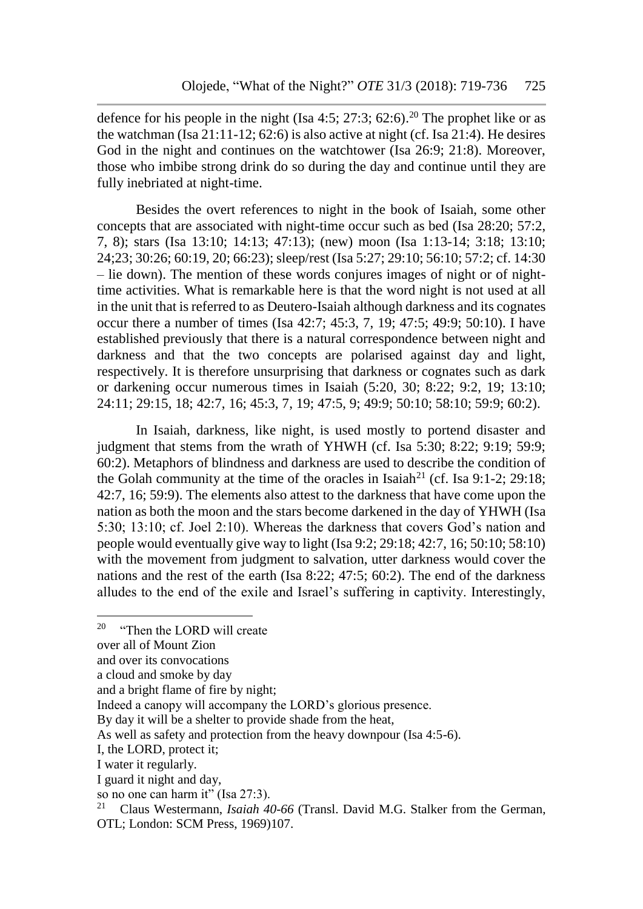defence for his people in the night (Isa  $4:5$ ;  $27:3$ ;  $62:6$ ).<sup>20</sup> The prophet like or as the watchman ( $\overline{Isa 21:11-12; 62:6}$ ) is also active at night (cf.  $\overline{Isa 21:4}$ ). He desires God in the night and continues on the watchtower (Isa 26:9; 21:8). Moreover, those who imbibe strong drink do so during the day and continue until they are fully inebriated at night-time.

Besides the overt references to night in the book of Isaiah, some other concepts that are associated with night-time occur such as bed (Isa 28:20; 57:2, 7, 8); stars (Isa 13:10; 14:13; 47:13); (new) moon (Isa 1:13-14; 3:18; 13:10; 24;23; 30:26; 60:19, 20; 66:23); sleep/rest (Isa 5:27; 29:10; 56:10; 57:2; cf. 14:30 – lie down). The mention of these words conjures images of night or of nighttime activities. What is remarkable here is that the word night is not used at all in the unit that is referred to as Deutero-Isaiah although darkness and its cognates occur there a number of times (Isa 42:7; 45:3, 7, 19; 47:5; 49:9; 50:10). I have established previously that there is a natural correspondence between night and darkness and that the two concepts are polarised against day and light, respectively. It is therefore unsurprising that darkness or cognates such as dark or darkening occur numerous times in Isaiah (5:20, 30; 8:22; 9:2, 19; 13:10; 24:11; 29:15, 18; 42:7, 16; 45:3, 7, 19; 47:5, 9; 49:9; 50:10; 58:10; 59:9; 60:2).

In Isaiah, darkness, like night, is used mostly to portend disaster and judgment that stems from the wrath of YHWH (cf. Isa 5:30; 8:22; 9:19; 59:9; 60:2). Metaphors of blindness and darkness are used to describe the condition of the Golah community at the time of the oracles in Isaiah<sup>21</sup> (cf. Isa 9:1-2; 29:18; 42:7, 16; 59:9). The elements also attest to the darkness that have come upon the nation as both the moon and the stars become darkened in the day of YHWH (Isa 5:30; 13:10; cf. Joel 2:10). Whereas the darkness that covers God's nation and people would eventually give way to light (Isa 9:2; 29:18; 42:7, 16; 50:10; 58:10) with the movement from judgment to salvation, utter darkness would cover the nations and the rest of the earth (Isa 8:22; 47:5; 60:2). The end of the darkness alludes to the end of the exile and Israel's suffering in captivity. Interestingly,

<sup>&</sup>lt;sup>20</sup> "Then the LORD will create"

over all of Mount Zion

and over its convocations

a cloud and smoke by day

and a bright flame of fire by night;

Indeed a canopy will accompany the LORD's glorious presence.

By day it will be a shelter to provide shade from the heat,

As well as safety and protection from the heavy downpour (Isa 4:5-6).

I, the LORD, protect it;

I water it regularly.

I guard it night and day,

so no one can harm it" (Isa 27:3).

<sup>21</sup> Claus Westermann, *Isaiah 40-66* (Transl. David M.G. Stalker from the German, OTL; London: SCM Press, 1969)107.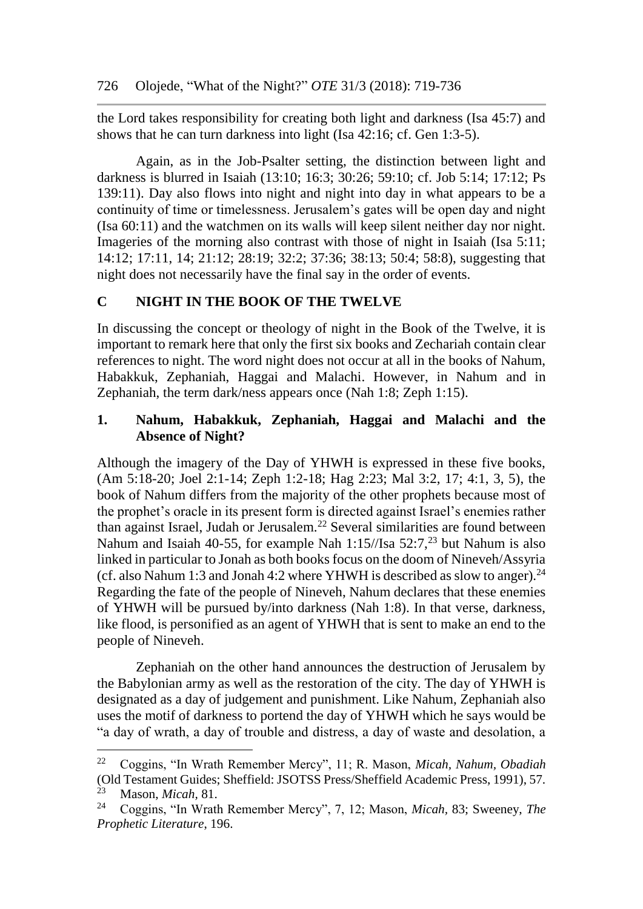the Lord takes responsibility for creating both light and darkness (Isa 45:7) and shows that he can turn darkness into light (Isa 42:16; cf. Gen 1:3-5).

Again, as in the Job-Psalter setting, the distinction between light and darkness is blurred in Isaiah (13:10; 16:3; 30:26; 59:10; cf. Job 5:14; 17:12; Ps 139:11). Day also flows into night and night into day in what appears to be a continuity of time or timelessness. Jerusalem's gates will be open day and night (Isa 60:11) and the watchmen on its walls will keep silent neither day nor night. Imageries of the morning also contrast with those of night in Isaiah (Isa 5:11; 14:12; 17:11, 14; 21:12; 28:19; 32:2; 37:36; 38:13; 50:4; 58:8), suggesting that night does not necessarily have the final say in the order of events.

# **C NIGHT IN THE BOOK OF THE TWELVE**

In discussing the concept or theology of night in the Book of the Twelve, it is important to remark here that only the first six books and Zechariah contain clear references to night. The word night does not occur at all in the books of Nahum, Habakkuk, Zephaniah, Haggai and Malachi. However, in Nahum and in Zephaniah, the term dark/ness appears once (Nah 1:8; Zeph 1:15).

# **1. Nahum, Habakkuk, Zephaniah, Haggai and Malachi and the Absence of Night?**

Although the imagery of the Day of YHWH is expressed in these five books, (Am 5:18-20; Joel 2:1-14; Zeph 1:2-18; Hag 2:23; Mal 3:2, 17; 4:1, 3, 5), the book of Nahum differs from the majority of the other prophets because most of the prophet's oracle in its present form is directed against Israel's enemies rather than against Israel, Judah or Jerusalem.<sup>22</sup> Several similarities are found between Nahum and Isaiah 40-55, for example Nah 1:15//Isa 52:7,<sup>23</sup> but Nahum is also linked in particular to Jonah as both books focus on the doom of Nineveh/Assyria (cf. also Nahum 1:3 and Jonah 4:2 where YHWH is described as slow to anger).<sup>24</sup> Regarding the fate of the people of Nineveh, Nahum declares that these enemies of YHWH will be pursued by/into darkness (Nah 1:8). In that verse, darkness, like flood, is personified as an agent of YHWH that is sent to make an end to the people of Nineveh.

Zephaniah on the other hand announces the destruction of Jerusalem by the Babylonian army as well as the restoration of the city. The day of YHWH is designated as a day of judgement and punishment. Like Nahum, Zephaniah also uses the motif of darkness to portend the day of YHWH which he says would be "a day of wrath, a day of trouble and distress, a day of waste and desolation, a

<sup>22</sup> Coggins, "In Wrath Remember Mercy", 11; R. Mason, *Micah, Nahum, Obadiah* (Old Testament Guides; Sheffield: JSOTSS Press/Sheffield Academic Press, 1991), 57. <sup>23</sup> Mason, *Micah*, 81.<br><sup>24</sup> Coggins "In Wratl

<sup>24</sup> Coggins, "In Wrath Remember Mercy", 7, 12; Mason, *Micah,* 83; Sweeney, *The Prophetic Literature*, 196.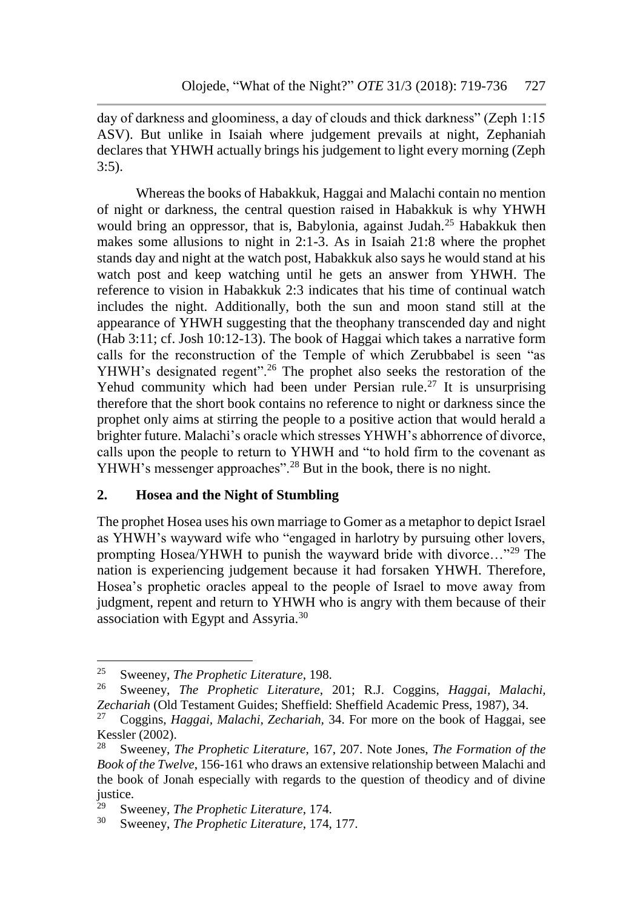day of darkness and gloominess, a day of clouds and thick darkness" (Zeph 1:15 ASV). But unlike in Isaiah where judgement prevails at night, Zephaniah declares that YHWH actually brings his judgement to light every morning (Zeph 3:5).

Whereas the books of Habakkuk, Haggai and Malachi contain no mention of night or darkness, the central question raised in Habakkuk is why YHWH would bring an oppressor, that is, Babylonia, against Judah.<sup>25</sup> Habakkuk then makes some allusions to night in 2:1-3. As in Isaiah 21:8 where the prophet stands day and night at the watch post, Habakkuk also says he would stand at his watch post and keep watching until he gets an answer from YHWH. The reference to vision in Habakkuk 2:3 indicates that his time of continual watch includes the night. Additionally, both the sun and moon stand still at the appearance of YHWH suggesting that the theophany transcended day and night (Hab 3:11; cf. Josh 10:12-13). The book of Haggai which takes a narrative form calls for the reconstruction of the Temple of which Zerubbabel is seen "as YHWH's designated regent".<sup>26</sup> The prophet also seeks the restoration of the Yehud community which had been under Persian rule.<sup>27</sup> It is unsurprising therefore that the short book contains no reference to night or darkness since the prophet only aims at stirring the people to a positive action that would herald a brighter future. Malachi's oracle which stresses YHWH's abhorrence of divorce, calls upon the people to return to YHWH and "to hold firm to the covenant as YHWH's messenger approaches".<sup>28</sup> But in the book, there is no night.

# **2. Hosea and the Night of Stumbling**

The prophet Hosea uses his own marriage to Gomer as a metaphor to depict Israel as YHWH's wayward wife who "engaged in harlotry by pursuing other lovers, prompting Hosea/YHWH to punish the wayward bride with divorce…"<sup>29</sup> The nation is experiencing judgement because it had forsaken YHWH. Therefore, Hosea's prophetic oracles appeal to the people of Israel to move away from judgment, repent and return to YHWH who is angry with them because of their association with Egypt and Assyria.<sup>30</sup>

<sup>25</sup> <sup>25</sup> Sweeney, *The Prophetic Literature*, 198.<br><sup>26</sup> Sweeney, *The Prophetic Literature* 

<sup>26</sup> Sweeney, *The Prophetic Literature*, 201; R.J. Coggins, *Haggai, Malachi, Zechariah* (Old Testament Guides; Sheffield: Sheffield Academic Press, 1987), 34.

<sup>27</sup> Coggins, *Haggai, Malachi, Zechariah,* 34. For more on the book of Haggai, see Kessler (2002).

<sup>28</sup> Sweeney, *The Prophetic Literature*, 167, 207. Note Jones, *The Formation of the Book of the Twelve*, 156-161 who draws an extensive relationship between Malachi and the book of Jonah especially with regards to the question of theodicy and of divine justice.<br> $^{29}$  Sy

<sup>29</sup> Sweeney, *The Prophetic Literature*, 174.

Sweeney, *The Prophetic Literature*, 174, 177.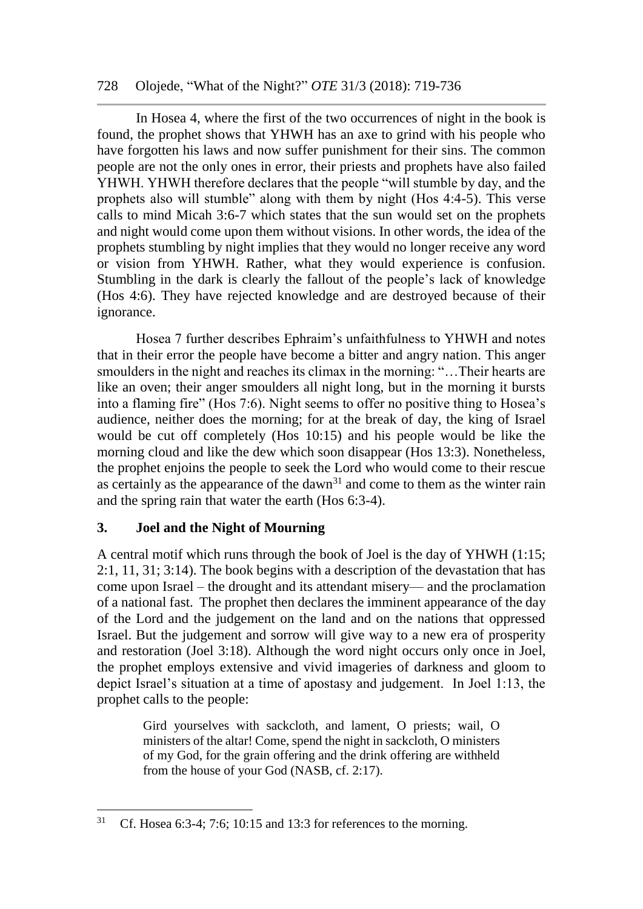## 728 Olojede, "What of the Night?" *OTE* 31/3 (2018): 719-736

In Hosea 4, where the first of the two occurrences of night in the book is found, the prophet shows that YHWH has an axe to grind with his people who have forgotten his laws and now suffer punishment for their sins. The common people are not the only ones in error, their priests and prophets have also failed YHWH. YHWH therefore declares that the people "will stumble by day, and the prophets also will stumble" along with them by night (Hos 4:4-5). This verse calls to mind Micah 3:6-7 which states that the sun would set on the prophets and night would come upon them without visions. In other words, the idea of the prophets stumbling by night implies that they would no longer receive any word or vision from YHWH. Rather, what they would experience is confusion. Stumbling in the dark is clearly the fallout of the people's lack of knowledge (Hos 4:6). They have rejected knowledge and are destroyed because of their ignorance.

Hosea 7 further describes Ephraim's unfaithfulness to YHWH and notes that in their error the people have become a bitter and angry nation. This anger smoulders in the night and reaches its climax in the morning: "…Their hearts are like an oven; their anger smoulders all night long, but in the morning it bursts into a flaming fire" (Hos 7:6). Night seems to offer no positive thing to Hosea's audience, neither does the morning; for at the break of day, the king of Israel would be cut off completely (Hos 10:15) and his people would be like the morning cloud and like the dew which soon disappear (Hos 13:3). Nonetheless, the prophet enjoins the people to seek the Lord who would come to their rescue as certainly as the appearance of the dawn<sup>31</sup> and come to them as the winter rain and the spring rain that water the earth (Hos 6:3-4).

# **3. Joel and the Night of Mourning**

l

A central motif which runs through the book of Joel is the day of YHWH (1:15; 2:1, 11, 31; 3:14). The book begins with a description of the devastation that has come upon Israel – the drought and its attendant misery— and the proclamation of a national fast. The prophet then declares the imminent appearance of the day of the Lord and the judgement on the land and on the nations that oppressed Israel. But the judgement and sorrow will give way to a new era of prosperity and restoration (Joel 3:18). Although the word night occurs only once in Joel, the prophet employs extensive and vivid imageries of darkness and gloom to depict Israel's situation at a time of apostasy and judgement. In Joel 1:13, the prophet calls to the people:

> Gird yourselves with sackcloth, and lament, O priests; wail, O ministers of the altar! Come, spend the night in sackcloth, O ministers of my God, for the grain offering and the drink offering are withheld from the house of your God (NASB, cf. 2:17).

<sup>&</sup>lt;sup>31</sup> Cf. Hosea 6:3-4; 7:6; 10:15 and 13:3 for references to the morning.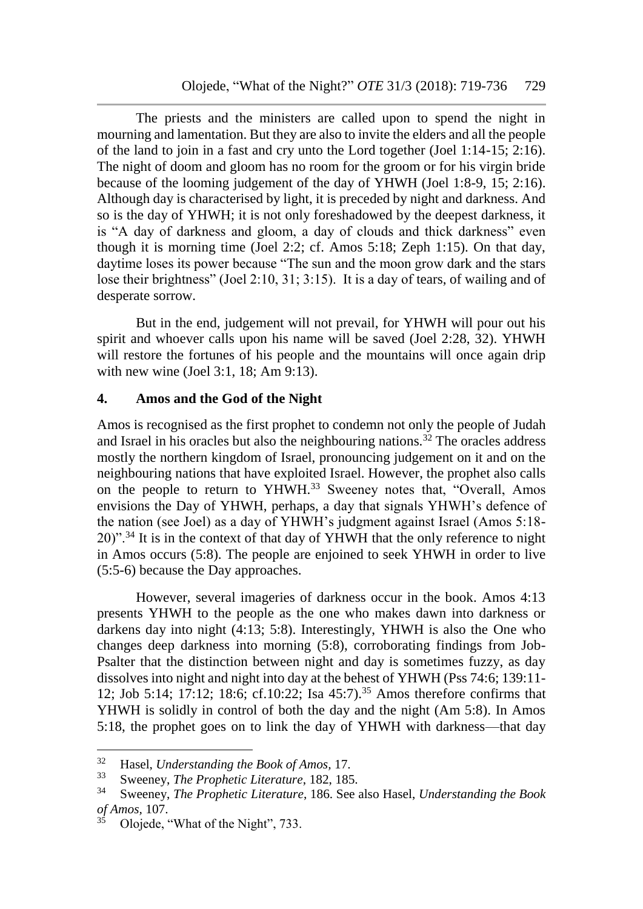The priests and the ministers are called upon to spend the night in mourning and lamentation. But they are also to invite the elders and all the people of the land to join in a fast and cry unto the Lord together (Joel 1:14-15; 2:16). The night of doom and gloom has no room for the groom or for his virgin bride because of the looming judgement of the day of YHWH (Joel 1:8-9, 15; 2:16). Although day is characterised by light, it is preceded by night and darkness. And so is the day of YHWH; it is not only foreshadowed by the deepest darkness, it is "A day of darkness and gloom, a day of clouds and thick darkness" even though it is morning time (Joel 2:2; cf. Amos 5:18; Zeph 1:15). On that day, daytime loses its power because "The sun and the moon grow dark and the stars lose their brightness" (Joel 2:10, 31; 3:15). It is a day of tears, of wailing and of desperate sorrow.

But in the end, judgement will not prevail, for YHWH will pour out his spirit and whoever calls upon his name will be saved (Joel 2:28, 32). YHWH will restore the fortunes of his people and the mountains will once again drip with new wine (Joel 3:1, 18; Am 9:13).

# **4. Amos and the God of the Night**

Amos is recognised as the first prophet to condemn not only the people of Judah and Israel in his oracles but also the neighbouring nations.<sup>32</sup> The oracles address mostly the northern kingdom of Israel, pronouncing judgement on it and on the neighbouring nations that have exploited Israel. However, the prophet also calls on the people to return to YHWH.<sup>33</sup> Sweeney notes that, "Overall, Amos envisions the Day of YHWH, perhaps, a day that signals YHWH's defence of the nation (see Joel) as a day of YHWH's judgment against Israel (Amos 5:18-  $20$ )".<sup>34</sup> It is in the context of that day of YHWH that the only reference to night in Amos occurs (5:8). The people are enjoined to seek YHWH in order to live (5:5-6) because the Day approaches.

However, several imageries of darkness occur in the book. Amos 4:13 presents YHWH to the people as the one who makes dawn into darkness or darkens day into night (4:13; 5:8). Interestingly, YHWH is also the One who changes deep darkness into morning (5:8), corroborating findings from Job-Psalter that the distinction between night and day is sometimes fuzzy, as day dissolves into night and night into day at the behest of YHWH (Pss 74:6; 139:11- 12; Job 5:14; 17:12; 18:6; cf.10:22; Isa  $45:7$ ).<sup>35</sup> Amos therefore confirms that YHWH is solidly in control of both the day and the night (Am 5:8). In Amos 5:18, the prophet goes on to link the day of YHWH with darkness—that day

<sup>32</sup> Hasel, *Understanding the Book of Amos,* 17.

<sup>&</sup>lt;sup>33</sup> Sweeney, *The Prophetic Literature*, 182, 185.<br><sup>34</sup> Sweeney, *The Prophetic Literature*, 186, See

<sup>34</sup> Sweeney, *The Prophetic Literature*, 186. See also Hasel, *Understanding the Book of Amos,* 107.

Olojede, "What of the Night", 733.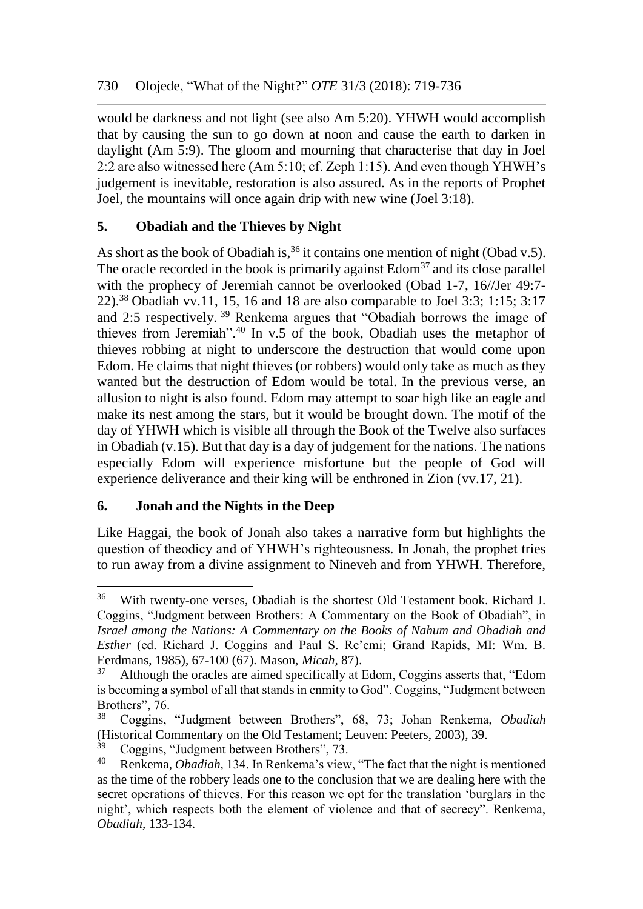would be darkness and not light (see also Am 5:20). YHWH would accomplish that by causing the sun to go down at noon and cause the earth to darken in daylight (Am 5:9). The gloom and mourning that characterise that day in Joel 2:2 are also witnessed here (Am 5:10; cf. Zeph 1:15). And even though YHWH's judgement is inevitable, restoration is also assured. As in the reports of Prophet Joel, the mountains will once again drip with new wine (Joel 3:18).

# **5. Obadiah and the Thieves by Night**

As short as the book of Obadiah is,<sup>36</sup> it contains one mention of night (Obad v.5). The oracle recorded in the book is primarily against  $Edom<sup>37</sup>$  and its close parallel with the prophecy of Jeremiah cannot be overlooked (Obad 1-7, 16//Jer 49:7-22).<sup>38</sup> Obadiah vv.11, 15, 16 and 18 are also comparable to Joel 3:3; 1:15; 3:17 and 2:5 respectively. <sup>39</sup> Renkema argues that "Obadiah borrows the image of thieves from Jeremiah".<sup>40</sup> In v.5 of the book, Obadiah uses the metaphor of thieves robbing at night to underscore the destruction that would come upon Edom. He claims that night thieves (or robbers) would only take as much as they wanted but the destruction of Edom would be total. In the previous verse, an allusion to night is also found. Edom may attempt to soar high like an eagle and make its nest among the stars, but it would be brought down. The motif of the day of YHWH which is visible all through the Book of the Twelve also surfaces in Obadiah (v.15). But that day is a day of judgement for the nations. The nations especially Edom will experience misfortune but the people of God will experience deliverance and their king will be enthroned in Zion (vv.17, 21).

# **6. Jonah and the Nights in the Deep**

l

Like Haggai, the book of Jonah also takes a narrative form but highlights the question of theodicy and of YHWH's righteousness. In Jonah, the prophet tries to run away from a divine assignment to Nineveh and from YHWH. Therefore,

<sup>36</sup> With twenty-one verses, Obadiah is the shortest Old Testament book. Richard J. Coggins, "Judgment between Brothers: A Commentary on the Book of Obadiah", in *Israel among the Nations: A Commentary on the Books of Nahum and Obadiah and Esther* (ed. Richard J. Coggins and Paul S. Re'emi; Grand Rapids, MI: Wm. B. Eerdmans, 1985), 67-100 (67). Mason, *Micah,* 87).

<sup>&</sup>lt;sup>37</sup> Although the oracles are aimed specifically at Edom, Coggins asserts that, "Edom is becoming a symbol of all that stands in enmity to God". Coggins, "Judgment between Brothers", 76.

<sup>38</sup> Coggins, "Judgment between Brothers", 68, 73; Johan Renkema, *Obadiah* (Historical Commentary on the Old Testament; Leuven: Peeters, 2003), 39.<br><sup>39</sup> Coggins "Judgmant between Brothers", 72.

 $^{39}$  Coggins, "Judgment between Brothers", 73.<br><sup>40</sup> Renkema *Obadiah* 134 In Renkema's view

Renkema, *Obadiah*, 134. In Renkema's view, "The fact that the night is mentioned as the time of the robbery leads one to the conclusion that we are dealing here with the secret operations of thieves. For this reason we opt for the translation 'burglars in the night', which respects both the element of violence and that of secrecy". Renkema, *Obadiah,* 133-134.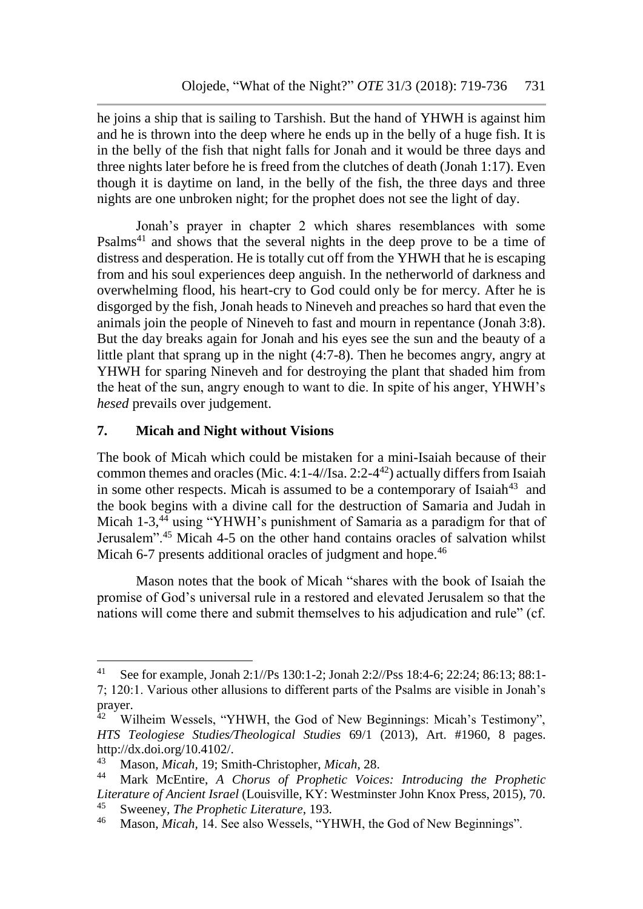he joins a ship that is sailing to Tarshish. But the hand of YHWH is against him and he is thrown into the deep where he ends up in the belly of a huge fish. It is in the belly of the fish that night falls for Jonah and it would be three days and three nights later before he is freed from the clutches of death (Jonah 1:17). Even though it is daytime on land, in the belly of the fish, the three days and three nights are one unbroken night; for the prophet does not see the light of day.

Jonah's prayer in chapter 2 which shares resemblances with some Psalms<sup>41</sup> and shows that the several nights in the deep prove to be a time of distress and desperation. He is totally cut off from the YHWH that he is escaping from and his soul experiences deep anguish. In the netherworld of darkness and overwhelming flood, his heart-cry to God could only be for mercy. After he is disgorged by the fish, Jonah heads to Nineveh and preaches so hard that even the animals join the people of Nineveh to fast and mourn in repentance (Jonah 3:8). But the day breaks again for Jonah and his eyes see the sun and the beauty of a little plant that sprang up in the night (4:7-8). Then he becomes angry, angry at YHWH for sparing Nineveh and for destroying the plant that shaded him from the heat of the sun, angry enough to want to die. In spite of his anger, YHWH's *hesed* prevails over judgement.

# **7. Micah and Night without Visions**

The book of Micah which could be mistaken for a mini-Isaiah because of their common themes and oracles (Mic. 4:1-4//Isa. 2:2-4 <sup>42</sup>) actually differs from Isaiah in some other respects. Micah is assumed to be a contemporary of Isaiah $43$  and the book begins with a divine call for the destruction of Samaria and Judah in Micah 1-3,<sup>44</sup> using "YHWH's punishment of Samaria as a paradigm for that of Jerusalem".<sup>45</sup> Micah 4-5 on the other hand contains oracles of salvation whilst Micah 6-7 presents additional oracles of judgment and hope.<sup>46</sup>

Mason notes that the book of Micah "shares with the book of Isaiah the promise of God's universal rule in a restored and elevated Jerusalem so that the nations will come there and submit themselves to his adjudication and rule" (cf.

<sup>41</sup> See for example, Jonah 2:1//Ps 130:1-2; Jonah 2:2//Pss 18:4-6; 22:24; 86:13; 88:1- 7; 120:1. Various other allusions to different parts of the Psalms are visible in Jonah's prayer.<br> $42$  W

Wilheim Wessels, "YHWH, the God of New Beginnings: Micah's Testimony", *HTS Teologiese Studies/Theological Studies* 69/1 (2013), Art. #1960, 8 pages. http://dx.doi.org/10.4102/.<br><sup>43</sup> Mason Micch 19: Sm

<sup>43</sup> Mason, *Micah,* 19; Smith-Christopher, *Micah*, 28.

<sup>44</sup> Mark McEntire, *A Chorus of Prophetic Voices: Introducing the Prophetic Literature of Ancient Israel* (Louisville, KY: Westminster John Knox Press, 2015), 70. <sup>45</sup> Sweeney, *The Prophetic Literature*, 193.<br><sup>46</sup> Mason *Misah 14* See also Wassels "VI

Mason, *Micah*, 14. See also Wessels, "YHWH, the God of New Beginnings".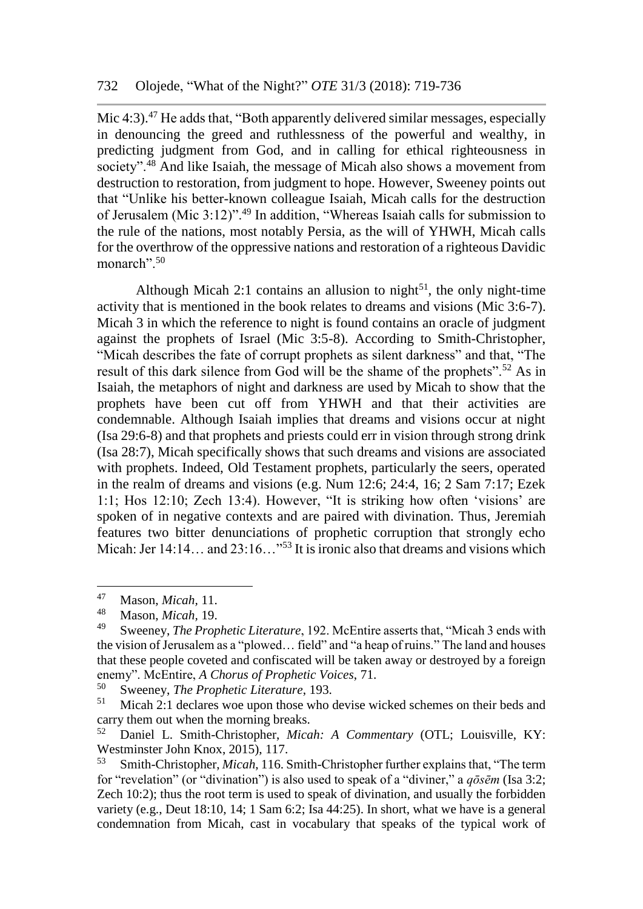Mic 4:3).<sup>47</sup> He adds that, "Both apparently delivered similar messages, especially in denouncing the greed and ruthlessness of the powerful and wealthy, in predicting judgment from God, and in calling for ethical righteousness in society".<sup>48</sup> And like Isaiah, the message of Micah also shows a movement from destruction to restoration, from judgment to hope. However, Sweeney points out that "Unlike his better-known colleague Isaiah, Micah calls for the destruction of Jerusalem (Mic 3:12)".<sup>49</sup> In addition, "Whereas Isaiah calls for submission to the rule of the nations, most notably Persia, as the will of YHWH, Micah calls for the overthrow of the oppressive nations and restoration of a righteous Davidic monarch".<sup>50</sup>

Although Micah 2:1 contains an allusion to night<sup>51</sup>, the only night-time activity that is mentioned in the book relates to dreams and visions (Mic 3:6-7). Micah 3 in which the reference to night is found contains an oracle of judgment against the prophets of Israel (Mic 3:5-8). According to Smith-Christopher, "Micah describes the fate of corrupt prophets as silent darkness" and that, "The result of this dark silence from God will be the shame of the prophets".<sup>52</sup> As in Isaiah, the metaphors of night and darkness are used by Micah to show that the prophets have been cut off from YHWH and that their activities are condemnable. Although Isaiah implies that dreams and visions occur at night (Isa 29:6-8) and that prophets and priests could err in vision through strong drink (Isa 28:7), Micah specifically shows that such dreams and visions are associated with prophets. Indeed, Old Testament prophets, particularly the seers, operated in the realm of dreams and visions (e.g. Num 12:6; 24:4, 16; 2 Sam 7:17; Ezek 1:1; Hos 12:10; Zech 13:4). However, "It is striking how often 'visions' are spoken of in negative contexts and are paired with divination. Thus, Jeremiah features two bitter denunciations of prophetic corruption that strongly echo Micah: Jer 14:14… and 23:16…<sup>"53</sup> It is ironic also that dreams and visions which

<sup>47</sup> <sup>47</sup> Mason, *Micah,* 11.

<sup>48</sup> Mason, *Micah,* 19.

<sup>49</sup> Sweeney, *The Prophetic Literature*, 192. McEntire asserts that, "Micah 3 ends with the vision of Jerusalem as a "plowed… field" and "a heap of ruins." The land and houses that these people coveted and confiscated will be taken away or destroyed by a foreign enemy". McEntire, *A Chorus of Prophetic Voices*, 71.

<sup>&</sup>lt;sup>50</sup> Sweeney, *The Prophetic Literature*, 193.<br><sup>51</sup> Micab 2:1 declares wee upon those who

Micah 2:1 declares woe upon those who devise wicked schemes on their beds and carry them out when the morning breaks.

<sup>52</sup> Daniel L. Smith-Christopher, *Micah: A Commentary* (OTL; Louisville, KY: Westminster John Knox, 2015), 117.

<sup>53</sup> Smith-Christopher, *Micah*, 116. Smith-Christopher further explains that, "The term for "revelation" (or "divination") is also used to speak of a "diviner," a *qōsēm* (Isa 3:2; Zech 10:2); thus the root term is used to speak of divination, and usually the forbidden variety (e.g., Deut 18:10, 14; 1 Sam 6:2; Isa 44:25). In short, what we have is a general condemnation from Micah, cast in vocabulary that speaks of the typical work of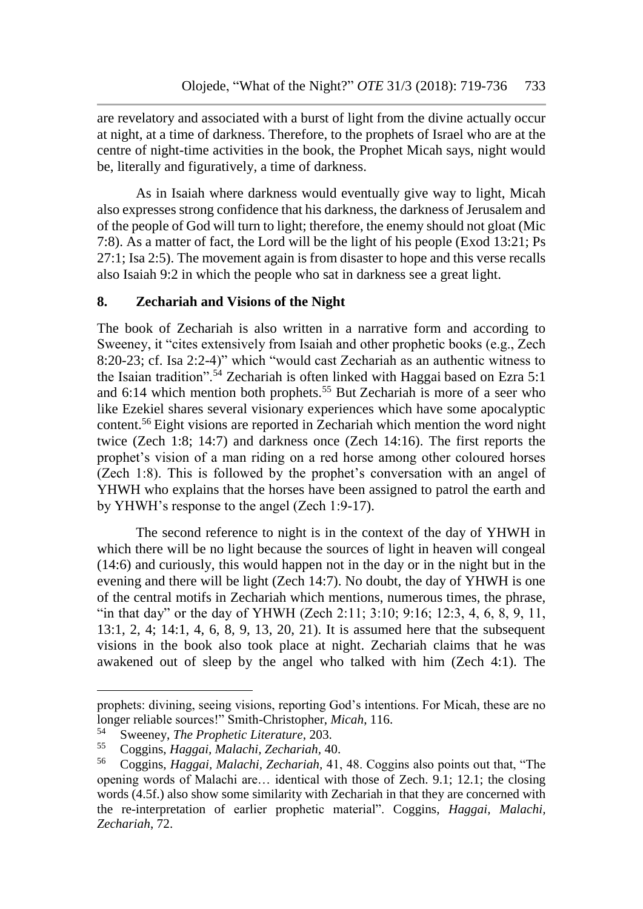are revelatory and associated with a burst of light from the divine actually occur at night, at a time of darkness. Therefore, to the prophets of Israel who are at the centre of night-time activities in the book, the Prophet Micah says, night would be, literally and figuratively, a time of darkness.

As in Isaiah where darkness would eventually give way to light, Micah also expresses strong confidence that his darkness, the darkness of Jerusalem and of the people of God will turn to light; therefore, the enemy should not gloat (Mic 7:8). As a matter of fact, the Lord will be the light of his people (Exod 13:21; Ps 27:1; Isa 2:5). The movement again is from disaster to hope and this verse recalls also Isaiah 9:2 in which the people who sat in darkness see a great light.

### **8. Zechariah and Visions of the Night**

The book of Zechariah is also written in a narrative form and according to Sweeney, it "cites extensively from Isaiah and other prophetic books (e.g., Zech 8:20-23; cf. Isa 2:2-4)" which "would cast Zechariah as an authentic witness to the Isaian tradition".<sup>54</sup> Zechariah is often linked with Haggai based on Ezra 5:1 and  $6:14$  which mention both prophets.<sup>55</sup> But Zechariah is more of a seer who like Ezekiel shares several visionary experiences which have some apocalyptic content.<sup>56</sup> Eight visions are reported in Zechariah which mention the word night twice (Zech 1:8; 14:7) and darkness once (Zech 14:16). The first reports the prophet's vision of a man riding on a red horse among other coloured horses (Zech 1:8). This is followed by the prophet's conversation with an angel of YHWH who explains that the horses have been assigned to patrol the earth and by YHWH's response to the angel (Zech 1:9-17).

The second reference to night is in the context of the day of YHWH in which there will be no light because the sources of light in heaven will congeal (14:6) and curiously, this would happen not in the day or in the night but in the evening and there will be light (Zech 14:7). No doubt, the day of YHWH is one of the central motifs in Zechariah which mentions, numerous times, the phrase, "in that day" or the day of YHWH (Zech 2:11; 3:10; 9:16; 12:3, 4, 6, 8, 9, 11, 13:1, 2, 4; 14:1, 4, 6, 8, 9, 13, 20, 21). It is assumed here that the subsequent visions in the book also took place at night. Zechariah claims that he was awakened out of sleep by the angel who talked with him (Zech 4:1). The

prophets: divining, seeing visions, reporting God's intentions. For Micah, these are no longer reliable sources!" Smith-Christopher, *Micah*, 116.

<sup>54</sup> Sweeney, *The Prophetic Literature*, 203.

<sup>55</sup> Coggins, *Haggai, Malachi, Zechariah,* 40.

<sup>56</sup> Coggins, *Haggai, Malachi, Zechariah,* 41, 48. Coggins also points out that, "The opening words of Malachi are… identical with those of Zech. 9.1; 12.1; the closing words (4.5f.) also show some similarity with Zechariah in that they are concerned with the re-interpretation of earlier prophetic material". Coggins, *Haggai, Malachi, Zechariah*, 72.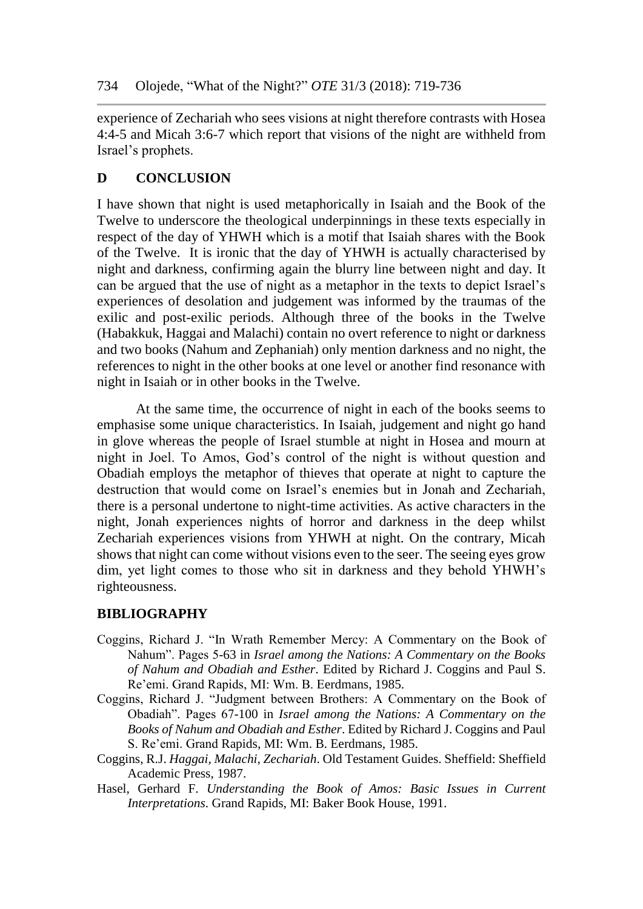experience of Zechariah who sees visions at night therefore contrasts with Hosea 4:4-5 and Micah 3:6-7 which report that visions of the night are withheld from Israel's prophets.

## **D CONCLUSION**

I have shown that night is used metaphorically in Isaiah and the Book of the Twelve to underscore the theological underpinnings in these texts especially in respect of the day of YHWH which is a motif that Isaiah shares with the Book of the Twelve. It is ironic that the day of YHWH is actually characterised by night and darkness, confirming again the blurry line between night and day. It can be argued that the use of night as a metaphor in the texts to depict Israel's experiences of desolation and judgement was informed by the traumas of the exilic and post-exilic periods. Although three of the books in the Twelve (Habakkuk, Haggai and Malachi) contain no overt reference to night or darkness and two books (Nahum and Zephaniah) only mention darkness and no night, the references to night in the other books at one level or another find resonance with night in Isaiah or in other books in the Twelve.

At the same time, the occurrence of night in each of the books seems to emphasise some unique characteristics. In Isaiah, judgement and night go hand in glove whereas the people of Israel stumble at night in Hosea and mourn at night in Joel. To Amos, God's control of the night is without question and Obadiah employs the metaphor of thieves that operate at night to capture the destruction that would come on Israel's enemies but in Jonah and Zechariah, there is a personal undertone to night-time activities. As active characters in the night, Jonah experiences nights of horror and darkness in the deep whilst Zechariah experiences visions from YHWH at night. On the contrary, Micah shows that night can come without visions even to the seer. The seeing eyes grow dim, yet light comes to those who sit in darkness and they behold YHWH's righteousness.

## **BIBLIOGRAPHY**

- Coggins, Richard J. "In Wrath Remember Mercy: A Commentary on the Book of Nahum". Pages 5-63 in *Israel among the Nations: A Commentary on the Books of Nahum and Obadiah and Esther*. Edited by Richard J. Coggins and Paul S. Re'emi. Grand Rapids, MI: Wm. B. Eerdmans, 1985.
- Coggins, Richard J. "Judgment between Brothers: A Commentary on the Book of Obadiah". Pages 67-100 in *Israel among the Nations: A Commentary on the Books of Nahum and Obadiah and Esther*. Edited by Richard J. Coggins and Paul S. Re'emi. Grand Rapids, MI: Wm. B. Eerdmans, 1985.
- Coggins, R.J. *Haggai, Malachi, Zechariah*. Old Testament Guides. Sheffield: Sheffield Academic Press, 1987.
- Hasel, Gerhard F. *Understanding the Book of Amos: Basic Issues in Current Interpretations*. Grand Rapids, MI: Baker Book House, 1991.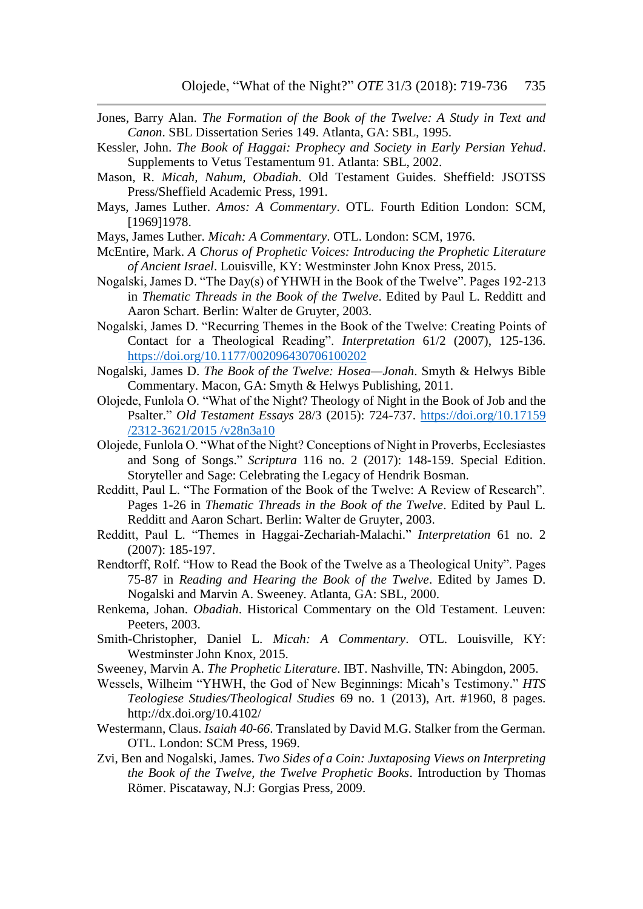- Jones, Barry Alan. *The Formation of the Book of the Twelve: A Study in Text and Canon*. SBL Dissertation Series 149. Atlanta, GA: SBL, 1995.
- Kessler, John. *The Book of Haggai: Prophecy and Society in Early Persian Yehud*. Supplements to Vetus Testamentum 91. Atlanta: SBL, 2002.
- Mason, R. *Micah, Nahum, Obadiah*. Old Testament Guides. Sheffield: JSOTSS Press/Sheffield Academic Press, 1991.
- Mays, James Luther. *Amos: A Commentary*. OTL. Fourth Edition London: SCM, [1969]1978.
- Mays, James Luther. *Micah: A Commentary*. OTL. London: SCM, 1976.
- McEntire, Mark. *A Chorus of Prophetic Voices: Introducing the Prophetic Literature of Ancient Israel*. Louisville, KY: Westminster John Knox Press, 2015.
- Nogalski, James D. "The Day(s) of YHWH in the Book of the Twelve". Pages 192-213 in *Thematic Threads in the Book of the Twelve*. Edited by Paul L. Redditt and Aaron Schart. Berlin: Walter de Gruyter, 2003.
- Nogalski, James D. "Recurring Themes in the Book of the Twelve: Creating Points of Contact for a Theological Reading". *Interpretation* 61/2 (2007), 125-136. <https://doi.org/10.1177/002096430706100202>
- Nogalski, James D. *The Book of the Twelve: Hosea—Jonah*. Smyth & Helwys Bible Commentary. Macon, GA: Smyth & Helwys Publishing, 2011.
- Olojede, Funlola O. "What of the Night? Theology of Night in the Book of Job and the Psalter." *Old Testament Essays* 28/3 (2015): 724-737. [https://doi.org/10.17159](https://doi.org/10.17159%20/2312-3621/2015%20/v28n3a10)  [/2312-3621/2015 /v28n3a10](https://doi.org/10.17159%20/2312-3621/2015%20/v28n3a10)
- Olojede, Funlola O. "What of the Night? Conceptions of Night in Proverbs, Ecclesiastes and Song of Songs." *Scriptura* 116 no. 2 (2017): 148-159. Special Edition. Storyteller and Sage: Celebrating the Legacy of Hendrik Bosman.
- Redditt, Paul L. "The Formation of the Book of the Twelve: A Review of Research". Pages 1-26 in *Thematic Threads in the Book of the Twelve*. Edited by Paul L. Redditt and Aaron Schart. Berlin: Walter de Gruyter, 2003.
- Redditt, Paul L. "Themes in Haggai-Zechariah-Malachi." *Interpretation* 61 no. 2 (2007): 185-197.
- Rendtorff, Rolf. "How to Read the Book of the Twelve as a Theological Unity". Pages 75-87 in *Reading and Hearing the Book of the Twelve*. Edited by James D. Nogalski and Marvin A. Sweeney. Atlanta, GA: SBL, 2000.
- Renkema, Johan. *Obadiah*. Historical Commentary on the Old Testament. Leuven: Peeters, 2003.
- Smith-Christopher, Daniel L. *Micah: A Commentary*. OTL. Louisville, KY: Westminster John Knox, 2015.
- Sweeney, Marvin A. *The Prophetic Literature*. IBT. Nashville, TN: Abingdon, 2005.
- Wessels, Wilheim "YHWH, the God of New Beginnings: Micah's Testimony." *HTS Teologiese Studies/Theological Studies* 69 no. 1 (2013), Art. #1960, 8 pages. http://dx.doi.org/10.4102/
- Westermann, Claus. *Isaiah 40-66*. Translated by David M.G. Stalker from the German. OTL. London: SCM Press, 1969.
- Zvi, Ben and Nogalski, James. *Two Sides of a Coin: Juxtaposing Views on Interpreting the Book of the Twelve, the Twelve Prophetic Books*. Introduction by Thomas Römer. Piscataway, N.J: Gorgias Press, 2009.